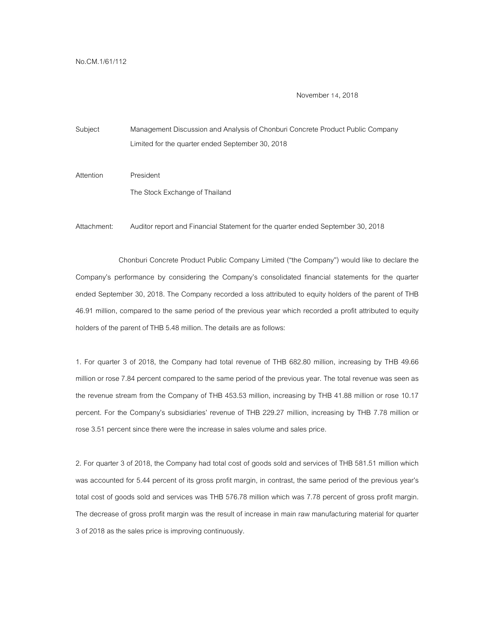November 14, 2018

Subject Management Discussion and Analysis of Chonburi Concrete Product Public Company Limited for the quarter ended September 30, 2018

Attention President The Stock Exchange of Thailand

Attachment: Auditor report and Financial Statement for the quarter ended September 30, 2018

Chonburi Concrete Product Public Company Limited ("the Company") would like to declare the Company's performance by considering the Company's consolidated financial statements for the quarter ended September 30, 2018. The Company recorded a loss attributed to equity holders of the parent of THB 46.91 million, compared to the same period of the previous year which recorded a profit attributed to equity holders of the parent of THB 5.48 million. The details are as follows:

1. For quarter 3 of 2018, the Company had total revenue of THB 682.80 million, increasing by THB 49.66 million or rose 7.84 percent compared to the same period of the previous year. The total revenue was seen as the revenue stream from the Company of THB 453.53 million, increasing by THB 41.88 million or rose 10.17 percent. For the Company's subsidiaries' revenue of THB 229.27 million, increasing by THB 7.78 million or rose 3.51 percent since there were the increase in sales volume and sales price.

2. For quarter 3 of 2018, the Company had total cost of goods sold and services of THB 581.51 million which was accounted for 5.44 percent of its gross profit margin, in contrast, the same period of the previous year's total cost of goods sold and services was THB 576.78 million which was 7.78 percent of gross profit margin. The decrease of gross profit margin was the result of increase in main raw manufacturing material for quarter 3 of 2018 as the sales price is improving continuously.